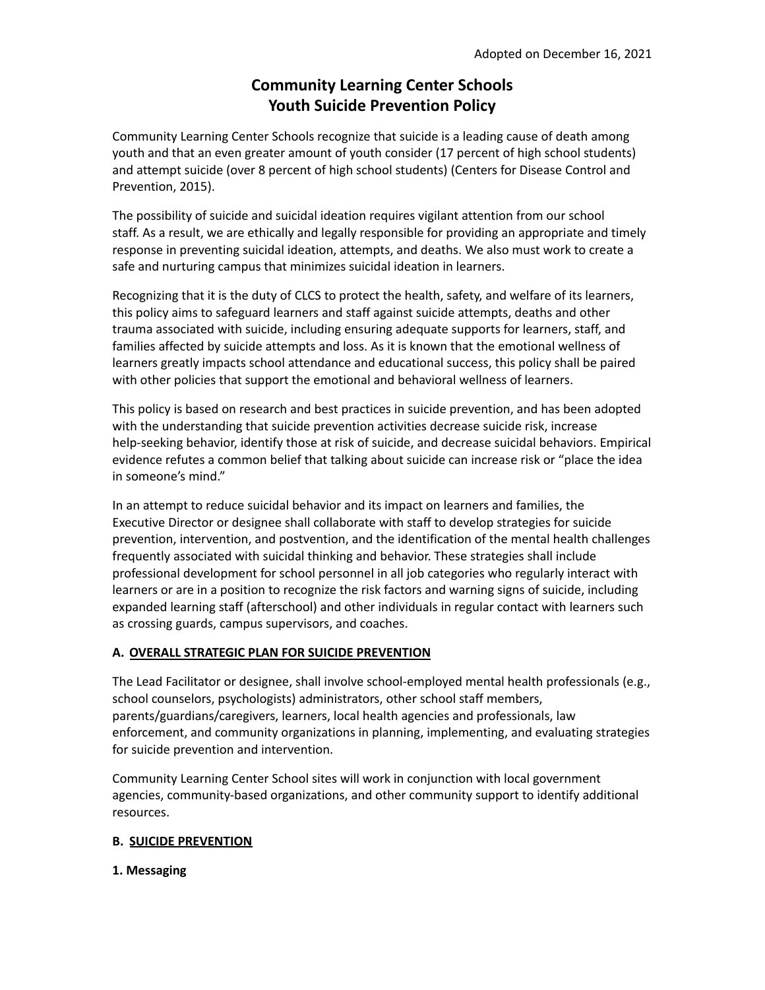# **Community Learning Center Schools Youth Suicide Prevention Policy**

Community Learning Center Schools recognize that suicide is a leading cause of death among youth and that an even greater amount of youth consider (17 percent of high school students) and attempt suicide (over 8 percent of high school students) (Centers for Disease Control and Prevention, 2015).

The possibility of suicide and suicidal ideation requires vigilant attention from our school staff. As a result, we are ethically and legally responsible for providing an appropriate and timely response in preventing suicidal ideation, attempts, and deaths. We also must work to create a safe and nurturing campus that minimizes suicidal ideation in learners.

Recognizing that it is the duty of CLCS to protect the health, safety, and welfare of its learners, this policy aims to safeguard learners and staff against suicide attempts, deaths and other trauma associated with suicide, including ensuring adequate supports for learners, staff, and families affected by suicide attempts and loss. As it is known that the emotional wellness of learners greatly impacts school attendance and educational success, this policy shall be paired with other policies that support the emotional and behavioral wellness of learners.

This policy is based on research and best practices in suicide prevention, and has been adopted with the understanding that suicide prevention activities decrease suicide risk, increase help-seeking behavior, identify those at risk of suicide, and decrease suicidal behaviors. Empirical evidence refutes a common belief that talking about suicide can increase risk or "place the idea in someone's mind."

In an attempt to reduce suicidal behavior and its impact on learners and families, the Executive Director or designee shall collaborate with staff to develop strategies for suicide prevention, intervention, and postvention, and the identification of the mental health challenges frequently associated with suicidal thinking and behavior. These strategies shall include professional development for school personnel in all job categories who regularly interact with learners or are in a position to recognize the risk factors and warning signs of suicide, including expanded learning staff (afterschool) and other individuals in regular contact with learners such as crossing guards, campus supervisors, and coaches.

# **A. OVERALL STRATEGIC PLAN FOR SUICIDE PREVENTION**

The Lead Facilitator or designee, shall involve school-employed mental health professionals (e.g., school counselors, psychologists) administrators, other school staff members, parents/guardians/caregivers, learners, local health agencies and professionals, law enforcement, and community organizations in planning, implementing, and evaluating strategies for suicide prevention and intervention.

Community Learning Center School sites will work in conjunction with local government agencies, community-based organizations, and other community support to identify additional resources.

# **B. SUICIDE PREVENTION**

## **1. Messaging**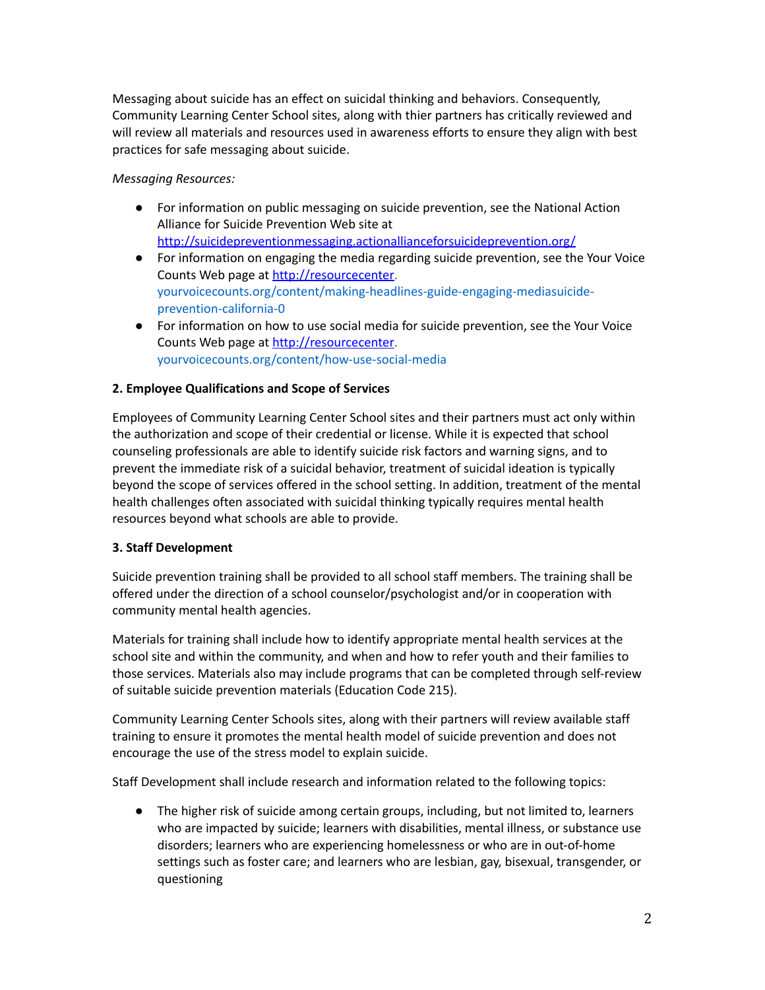Messaging about suicide has an effect on suicidal thinking and behaviors. Consequently, Community Learning Center School sites, along with thier partners has critically reviewed and will review all materials and resources used in awareness efforts to ensure they align with best practices for safe messaging about suicide.

## *Messaging Resources:*

- For information on public messaging on suicide prevention, see the National Action Alliance for Suicide Prevention Web site at <http://suicidepreventionmessaging.actionallianceforsuicideprevention.org/>
- For information on engaging the media regarding suicide prevention, see the Your Voice Counts Web page at [http://resourcecenter.](http://resourcecenter) yourvoicecounts.org/content/making-headlines-guide-engaging-mediasuicideprevention-california-0
- For information on how to use social media for suicide prevention, see the Your Voice Counts Web page at [http://resourcecenter.](http://resourcecenter) yourvoicecounts.org/content/how-use-social-media

# **2. Employee Qualifications and Scope of Services**

Employees of Community Learning Center School sites and their partners must act only within the authorization and scope of their credential or license. While it is expected that school counseling professionals are able to identify suicide risk factors and warning signs, and to prevent the immediate risk of a suicidal behavior, treatment of suicidal ideation is typically beyond the scope of services offered in the school setting. In addition, treatment of the mental health challenges often associated with suicidal thinking typically requires mental health resources beyond what schools are able to provide.

## **3. Staff Development**

Suicide prevention training shall be provided to all school staff members. The training shall be offered under the direction of a school counselor/psychologist and/or in cooperation with community mental health agencies.

Materials for training shall include how to identify appropriate mental health services at the school site and within the community, and when and how to refer youth and their families to those services. Materials also may include programs that can be completed through self-review of suitable suicide prevention materials (Education Code 215).

Community Learning Center Schools sites, along with their partners will review available staff training to ensure it promotes the mental health model of suicide prevention and does not encourage the use of the stress model to explain suicide.

Staff Development shall include research and information related to the following topics:

● The higher risk of suicide among certain groups, including, but not limited to, learners who are impacted by suicide; learners with disabilities, mental illness, or substance use disorders; learners who are experiencing homelessness or who are in out-of-home settings such as foster care; and learners who are lesbian, gay, bisexual, transgender, or questioning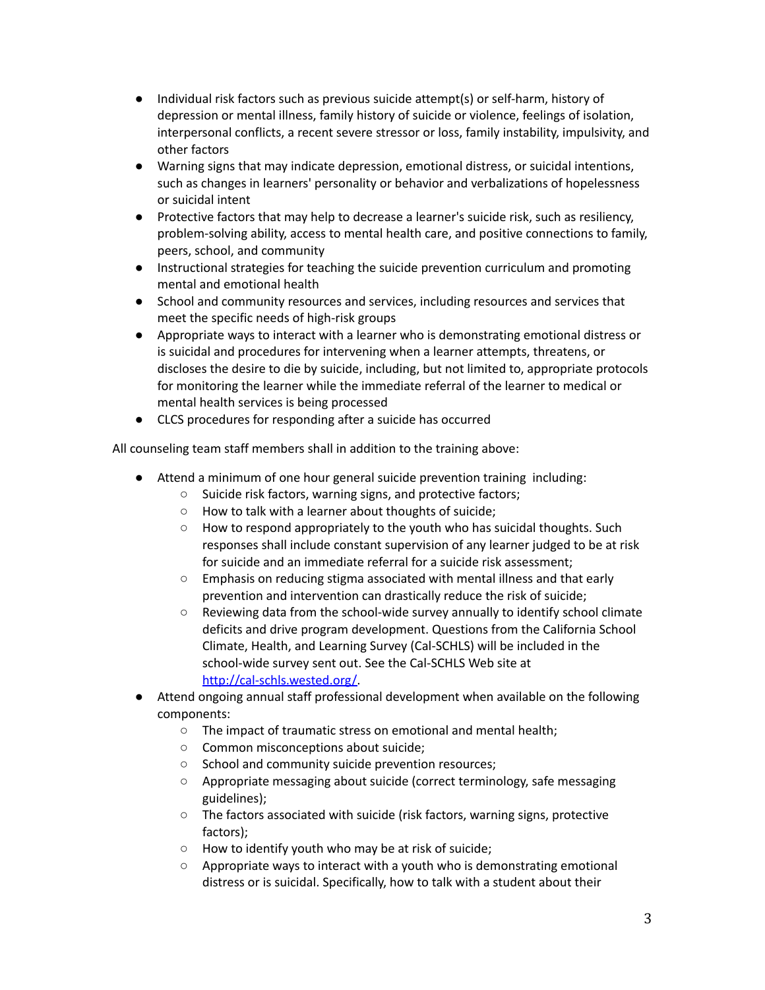- Individual risk factors such as previous suicide attempt(s) or self-harm, history of depression or mental illness, family history of suicide or violence, feelings of isolation, interpersonal conflicts, a recent severe stressor or loss, family instability, impulsivity, and other factors
- Warning signs that may indicate depression, emotional distress, or suicidal intentions, such as changes in learners' personality or behavior and verbalizations of hopelessness or suicidal intent
- Protective factors that may help to decrease a learner's suicide risk, such as resiliency, problem-solving ability, access to mental health care, and positive connections to family, peers, school, and community
- Instructional strategies for teaching the suicide prevention curriculum and promoting mental and emotional health
- School and community resources and services, including resources and services that meet the specific needs of high-risk groups
- Appropriate ways to interact with a learner who is demonstrating emotional distress or is suicidal and procedures for intervening when a learner attempts, threatens, or discloses the desire to die by suicide, including, but not limited to, appropriate protocols for monitoring the learner while the immediate referral of the learner to medical or mental health services is being processed
- CLCS procedures for responding after a suicide has occurred

All counseling team staff members shall in addition to the training above:

- Attend a minimum of one hour general suicide prevention training including:
	- Suicide risk factors, warning signs, and protective factors;
	- How to talk with a learner about thoughts of suicide;
	- How to respond appropriately to the youth who has suicidal thoughts. Such responses shall include constant supervision of any learner judged to be at risk for suicide and an immediate referral for a suicide risk assessment;
	- Emphasis on reducing stigma associated with mental illness and that early prevention and intervention can drastically reduce the risk of suicide;
	- Reviewing data from the school-wide survey annually to identify school climate deficits and drive program development. Questions from the California School Climate, Health, and Learning Survey (Cal-SCHLS) will be included in the school-wide survey sent out. See the Cal-SCHLS Web site at [http://cal-schls.wested.org/.](http://cal-schls.wested.org/)
- Attend ongoing annual staff professional development when available on the following components:
	- The impact of traumatic stress on emotional and mental health;
	- Common misconceptions about suicide;
	- School and community suicide prevention resources;
	- Appropriate messaging about suicide (correct terminology, safe messaging guidelines);
	- The factors associated with suicide (risk factors, warning signs, protective factors);
	- How to identify youth who may be at risk of suicide;
	- Appropriate ways to interact with a youth who is demonstrating emotional distress or is suicidal. Specifically, how to talk with a student about their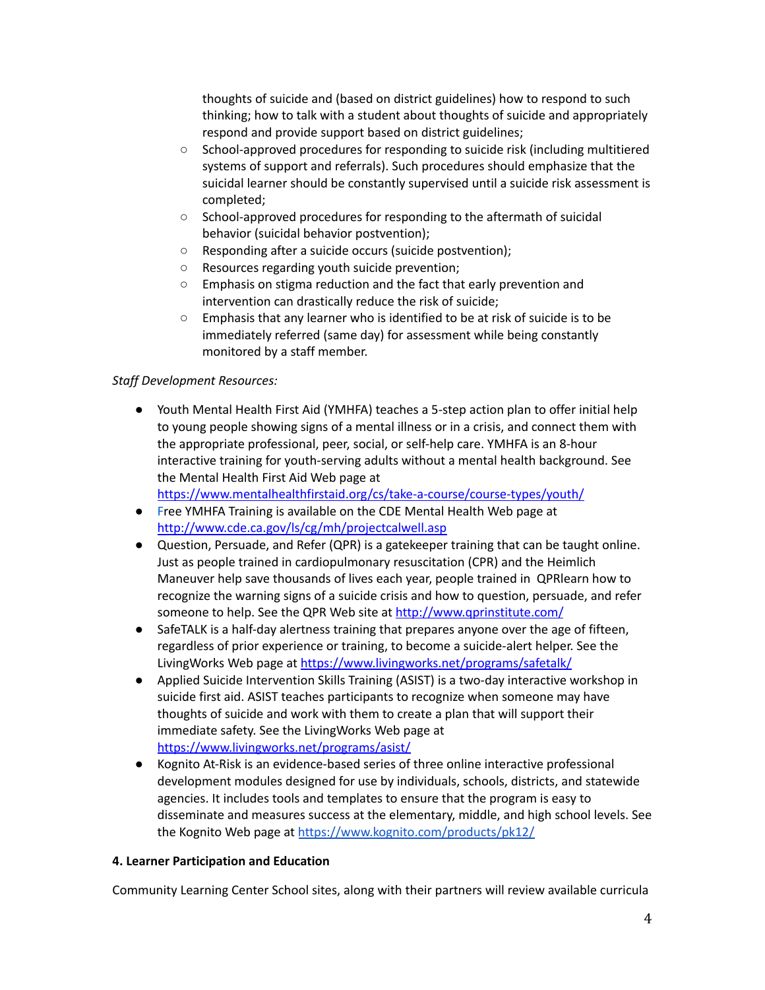thoughts of suicide and (based on district guidelines) how to respond to such thinking; how to talk with a student about thoughts of suicide and appropriately respond and provide support based on district guidelines;

- School-approved procedures for responding to suicide risk (including multitiered systems of support and referrals). Such procedures should emphasize that the suicidal learner should be constantly supervised until a suicide risk assessment is completed;
- School-approved procedures for responding to the aftermath of suicidal behavior (suicidal behavior postvention);
- Responding after a suicide occurs (suicide postvention);
- Resources regarding youth suicide prevention;
- Emphasis on stigma reduction and the fact that early prevention and intervention can drastically reduce the risk of suicide;
- Emphasis that any learner who is identified to be at risk of suicide is to be immediately referred (same day) for assessment while being constantly monitored by a staff member.

## *Staff Development Resources:*

● Youth Mental Health First Aid (YMHFA) teaches a 5-step action plan to offer initial help to young people showing signs of a mental illness or in a crisis, and connect them with the appropriate professional, peer, social, or self-help care. YMHFA is an 8-hour interactive training for youth-serving adults without a mental health background. See the Mental Health First Aid Web page at

<https://www.mentalhealthfirstaid.org/cs/take-a-course/course-types/youth/>

- Free YMHFA Training is available on the CDE Mental Health Web page at <http://www.cde.ca.gov/ls/cg/mh/projectcalwell.asp>
- Question, Persuade, and Refer (QPR) is a gatekeeper training that can be taught online. Just as people trained in cardiopulmonary resuscitation (CPR) and the Heimlich Maneuver help save thousands of lives each year, people trained in QPRlearn how to recognize the warning signs of a suicide crisis and how to question, persuade, and refer someone to help. See the QPR Web site at <http://www.qprinstitute.com/>
- SafeTALK is a half-day alertness training that prepares anyone over the age of fifteen, regardless of prior experience or training, to become a suicide-alert helper. See the LivingWorks Web page at <https://www.livingworks.net/programs/safetalk/>
- Applied Suicide Intervention Skills Training (ASIST) is a two-day interactive workshop in suicide first aid. ASIST teaches participants to recognize when someone may have thoughts of suicide and work with them to create a plan that will support their immediate safety. See the LivingWorks Web page at <https://www.livingworks.net/programs/asist/>
- Kognito At-Risk is an evidence-based series of three online interactive professional development modules designed for use by individuals, schools, districts, and statewide agencies. It includes tools and templates to ensure that the program is easy to disseminate and measures success at the elementary, middle, and high school levels. See the Kognito Web page at <https://www.kognito.com/products/pk12/>

## **4. Learner Participation and Education**

Community Learning Center School sites, along with their partners will review available curricula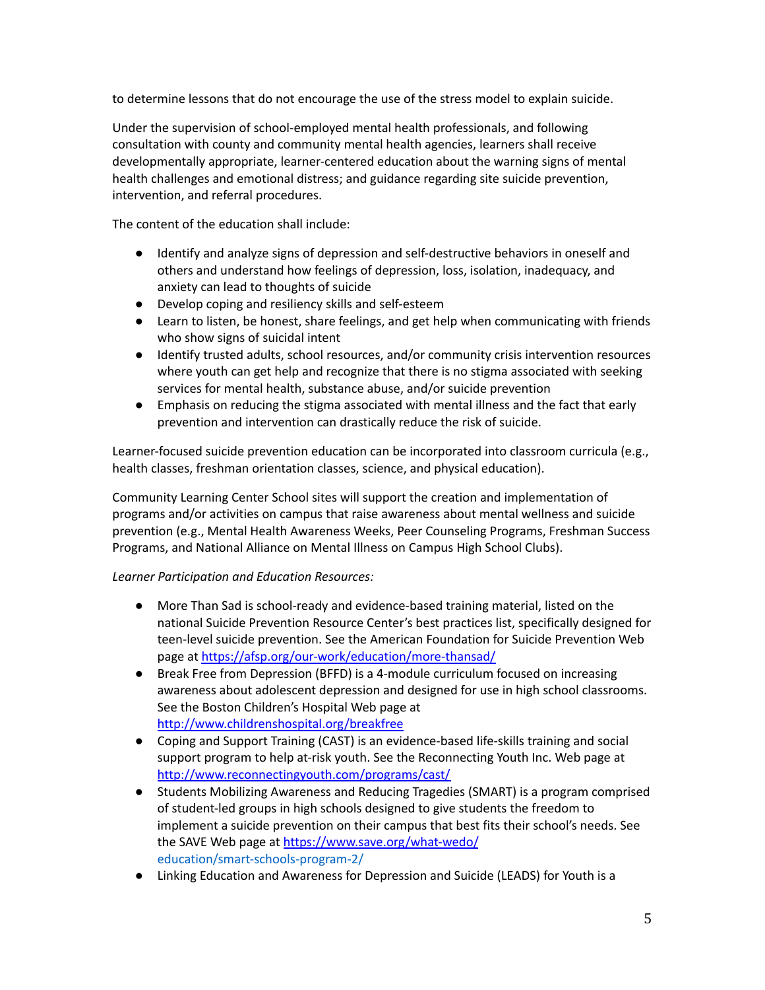to determine lessons that do not encourage the use of the stress model to explain suicide.

Under the supervision of school-employed mental health professionals, and following consultation with county and community mental health agencies, learners shall receive developmentally appropriate, learner-centered education about the warning signs of mental health challenges and emotional distress; and guidance regarding site suicide prevention, intervention, and referral procedures.

The content of the education shall include:

- Identify and analyze signs of depression and self-destructive behaviors in oneself and others and understand how feelings of depression, loss, isolation, inadequacy, and anxiety can lead to thoughts of suicide
- Develop coping and resiliency skills and self-esteem
- Learn to listen, be honest, share feelings, and get help when communicating with friends who show signs of suicidal intent
- Identify trusted adults, school resources, and/or community crisis intervention resources where youth can get help and recognize that there is no stigma associated with seeking services for mental health, substance abuse, and/or suicide prevention
- Emphasis on reducing the stigma associated with mental illness and the fact that early prevention and intervention can drastically reduce the risk of suicide.

Learner-focused suicide prevention education can be incorporated into classroom curricula (e.g., health classes, freshman orientation classes, science, and physical education).

Community Learning Center School sites will support the creation and implementation of programs and/or activities on campus that raise awareness about mental wellness and suicide prevention (e.g., Mental Health Awareness Weeks, Peer Counseling Programs, Freshman Success Programs, and National Alliance on Mental Illness on Campus High School Clubs).

*Learner Participation and Education Resources:*

- More Than Sad is school-ready and evidence-based training material, listed on the national Suicide Prevention Resource Center's best practices list, specifically designed for teen-level suicide prevention. See the American Foundation for Suicide Prevention Web page at <https://afsp.org/our-work/education/more-thansad/>
- Break Free from Depression (BFFD) is a 4-module curriculum focused on increasing awareness about adolescent depression and designed for use in high school classrooms. See the Boston Children's Hospital Web page at <http://www.childrenshospital.org/breakfree>
- Coping and Support Training (CAST) is an evidence-based life-skills training and social support program to help at-risk youth. See the Reconnecting Youth Inc. Web page at <http://www.reconnectingyouth.com/programs/cast/>
- Students Mobilizing Awareness and Reducing Tragedies (SMART) is a program comprised of student-led groups in high schools designed to give students the freedom to implement a suicide prevention on their campus that best fits their school's needs. See the SAVE Web page at <https://www.save.org/what-wedo/> education/smart-schools-program-2/
- Linking Education and Awareness for Depression and Suicide (LEADS) for Youth is a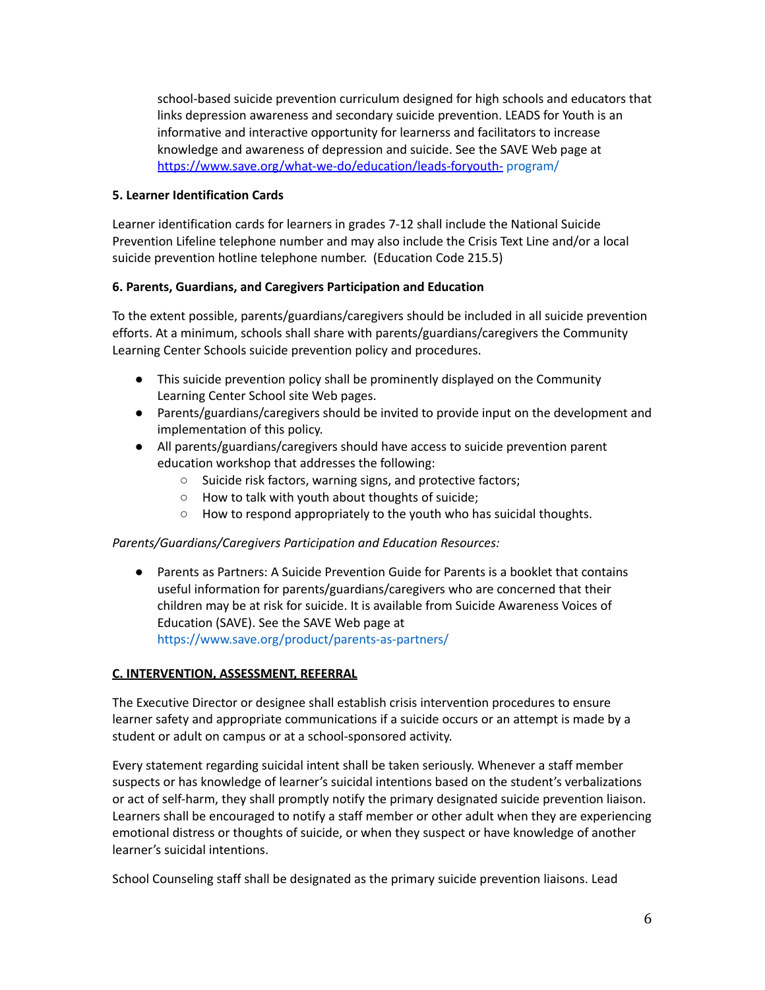school-based suicide prevention curriculum designed for high schools and educators that links depression awareness and secondary suicide prevention. LEADS for Youth is an informative and interactive opportunity for learnerss and facilitators to increase knowledge and awareness of depression and suicide. See the SAVE Web page at <https://www.save.org/what-we-do/education/leads-foryouth-> program/

## **5. Learner Identification Cards**

Learner identification cards for learners in grades 7-12 shall include the National Suicide Prevention Lifeline telephone number and may also include the Crisis Text Line and/or a local suicide prevention hotline telephone number. (Education Code 215.5)

## **6. Parents, Guardians, and Caregivers Participation and Education**

To the extent possible, parents/guardians/caregivers should be included in all suicide prevention efforts. At a minimum, schools shall share with parents/guardians/caregivers the Community Learning Center Schools suicide prevention policy and procedures.

- This suicide prevention policy shall be prominently displayed on the Community Learning Center School site Web pages.
- Parents/guardians/caregivers should be invited to provide input on the development and implementation of this policy.
- All parents/guardians/caregivers should have access to suicide prevention parent education workshop that addresses the following:
	- Suicide risk factors, warning signs, and protective factors;
	- How to talk with youth about thoughts of suicide;
	- How to respond appropriately to the youth who has suicidal thoughts.

## *Parents/Guardians/Caregivers Participation and Education Resources:*

● Parents as Partners: A Suicide Prevention Guide for Parents is a booklet that contains useful information for parents/guardians/caregivers who are concerned that their children may be at risk for suicide. It is available from Suicide Awareness Voices of Education (SAVE). See the SAVE Web page at https://www.save.org/product/parents-as-partners/

# **C. INTERVENTION, ASSESSMENT, REFERRAL**

The Executive Director or designee shall establish crisis intervention procedures to ensure learner safety and appropriate communications if a suicide occurs or an attempt is made by a student or adult on campus or at a school-sponsored activity.

Every statement regarding suicidal intent shall be taken seriously. Whenever a staff member suspects or has knowledge of learner's suicidal intentions based on the student's verbalizations or act of self-harm, they shall promptly notify the primary designated suicide prevention liaison. Learners shall be encouraged to notify a staff member or other adult when they are experiencing emotional distress or thoughts of suicide, or when they suspect or have knowledge of another learner's suicidal intentions.

School Counseling staff shall be designated as the primary suicide prevention liaisons. Lead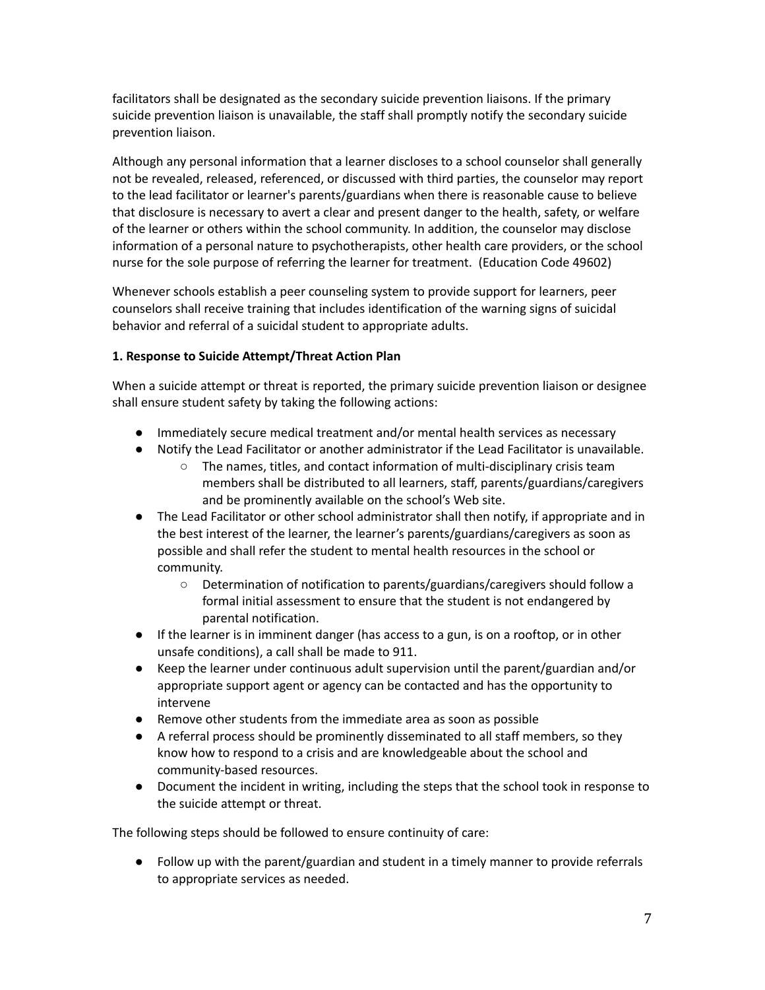facilitators shall be designated as the secondary suicide prevention liaisons. If the primary suicide prevention liaison is unavailable, the staff shall promptly notify the secondary suicide prevention liaison.

Although any personal information that a learner discloses to a school counselor shall generally not be revealed, released, referenced, or discussed with third parties, the counselor may report to the lead facilitator or learner's parents/guardians when there is reasonable cause to believe that disclosure is necessary to avert a clear and present danger to the health, safety, or welfare of the learner or others within the school community. In addition, the counselor may disclose information of a personal nature to psychotherapists, other health care providers, or the school nurse for the sole purpose of referring the learner for treatment. (Education Code 49602)

Whenever schools establish a peer counseling system to provide support for learners, peer counselors shall receive training that includes identification of the warning signs of suicidal behavior and referral of a suicidal student to appropriate adults.

## **1. Response to Suicide Attempt/Threat Action Plan**

When a suicide attempt or threat is reported, the primary suicide prevention liaison or designee shall ensure student safety by taking the following actions:

- Immediately secure medical treatment and/or mental health services as necessary
- Notify the Lead Facilitator or another administrator if the Lead Facilitator is unavailable.
	- The names, titles, and contact information of multi-disciplinary crisis team members shall be distributed to all learners, staff, parents/guardians/caregivers and be prominently available on the school's Web site.
- The Lead Facilitator or other school administrator shall then notify, if appropriate and in the best interest of the learner, the learner's parents/guardians/caregivers as soon as possible and shall refer the student to mental health resources in the school or community.
	- Determination of notification to parents/guardians/caregivers should follow a formal initial assessment to ensure that the student is not endangered by parental notification.
- If the learner is in imminent danger (has access to a gun, is on a rooftop, or in other unsafe conditions), a call shall be made to 911.
- Keep the learner under continuous adult supervision until the parent/guardian and/or appropriate support agent or agency can be contacted and has the opportunity to intervene
- Remove other students from the immediate area as soon as possible
- A referral process should be prominently disseminated to all staff members, so they know how to respond to a crisis and are knowledgeable about the school and community-based resources.
- Document the incident in writing, including the steps that the school took in response to the suicide attempt or threat.

The following steps should be followed to ensure continuity of care:

● Follow up with the parent/guardian and student in a timely manner to provide referrals to appropriate services as needed.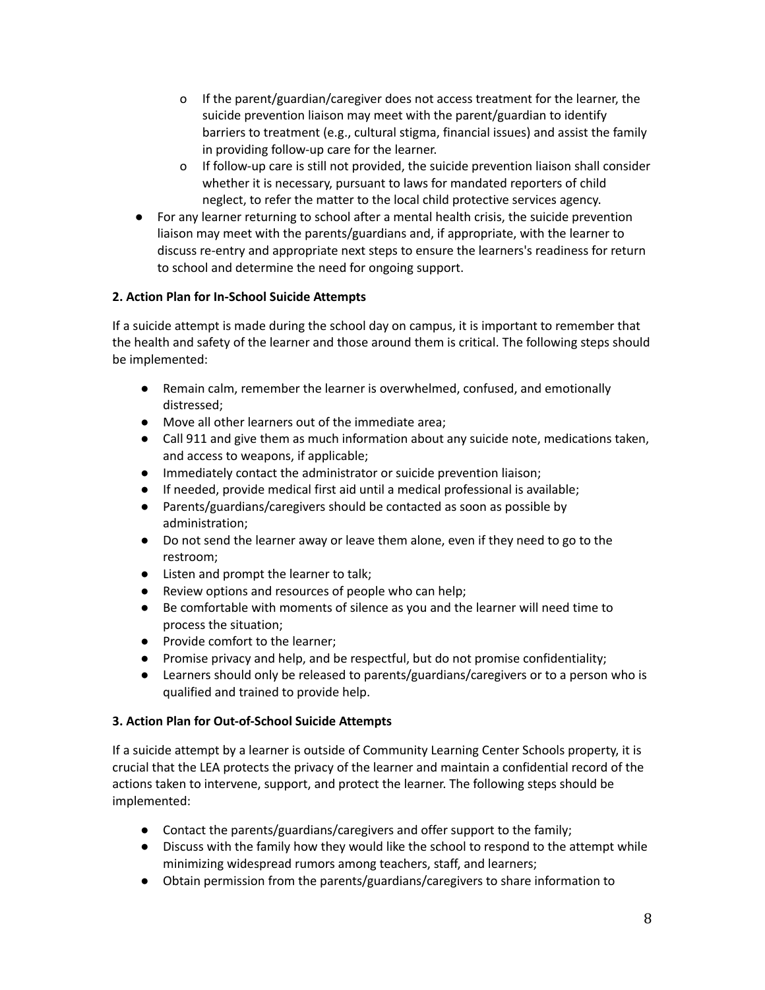- o If the parent/guardian/caregiver does not access treatment for the learner, the suicide prevention liaison may meet with the parent/guardian to identify barriers to treatment (e.g., cultural stigma, financial issues) and assist the family in providing follow-up care for the learner.
- o If follow-up care is still not provided, the suicide prevention liaison shall consider whether it is necessary, pursuant to laws for mandated reporters of child neglect, to refer the matter to the local child protective services agency.
- For any learner returning to school after a mental health crisis, the suicide prevention liaison may meet with the parents/guardians and, if appropriate, with the learner to discuss re-entry and appropriate next steps to ensure the learners's readiness for return to school and determine the need for ongoing support.

# **2. Action Plan for In-School Suicide Attempts**

If a suicide attempt is made during the school day on campus, it is important to remember that the health and safety of the learner and those around them is critical. The following steps should be implemented:

- Remain calm, remember the learner is overwhelmed, confused, and emotionally distressed;
- Move all other learners out of the immediate area;
- Call 911 and give them as much information about any suicide note, medications taken, and access to weapons, if applicable;
- Immediately contact the administrator or suicide prevention liaison;
- If needed, provide medical first aid until a medical professional is available;
- Parents/guardians/caregivers should be contacted as soon as possible by administration;
- Do not send the learner away or leave them alone, even if they need to go to the restroom;
- Listen and prompt the learner to talk;
- Review options and resources of people who can help;
- Be comfortable with moments of silence as you and the learner will need time to process the situation;
- Provide comfort to the learner;
- Promise privacy and help, and be respectful, but do not promise confidentiality;
- Learners should only be released to parents/guardians/caregivers or to a person who is qualified and trained to provide help.

# **3. Action Plan for Out-of-School Suicide Attempts**

If a suicide attempt by a learner is outside of Community Learning Center Schools property, it is crucial that the LEA protects the privacy of the learner and maintain a confidential record of the actions taken to intervene, support, and protect the learner. The following steps should be implemented:

- Contact the parents/guardians/caregivers and offer support to the family;
- Discuss with the family how they would like the school to respond to the attempt while minimizing widespread rumors among teachers, staff, and learners;
- Obtain permission from the parents/guardians/caregivers to share information to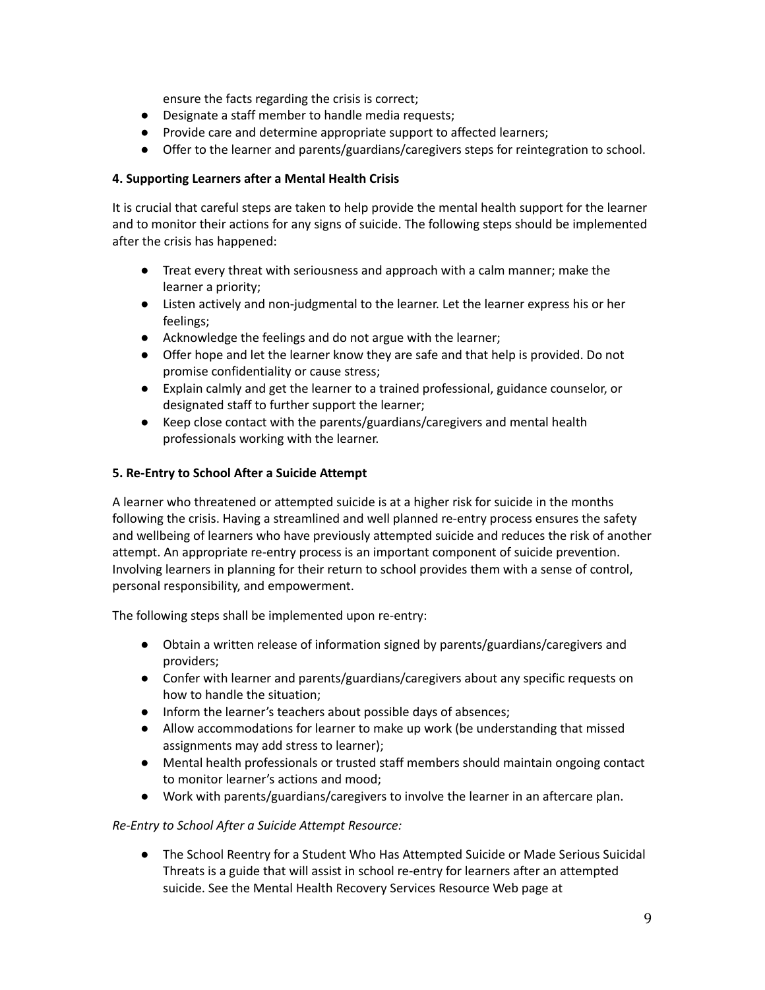ensure the facts regarding the crisis is correct;

- Designate a staff member to handle media requests;
- Provide care and determine appropriate support to affected learners;
- Offer to the learner and parents/guardians/caregivers steps for reintegration to school.

## **4. Supporting Learners after a Mental Health Crisis**

It is crucial that careful steps are taken to help provide the mental health support for the learner and to monitor their actions for any signs of suicide. The following steps should be implemented after the crisis has happened:

- Treat every threat with seriousness and approach with a calm manner; make the learner a priority;
- Listen actively and non-judgmental to the learner. Let the learner express his or her feelings;
- Acknowledge the feelings and do not argue with the learner;
- Offer hope and let the learner know they are safe and that help is provided. Do not promise confidentiality or cause stress;
- Explain calmly and get the learner to a trained professional, guidance counselor, or designated staff to further support the learner;
- Keep close contact with the parents/guardians/caregivers and mental health professionals working with the learner.

## **5. Re-Entry to School After a Suicide Attempt**

A learner who threatened or attempted suicide is at a higher risk for suicide in the months following the crisis. Having a streamlined and well planned re-entry process ensures the safety and wellbeing of learners who have previously attempted suicide and reduces the risk of another attempt. An appropriate re-entry process is an important component of suicide prevention. Involving learners in planning for their return to school provides them with a sense of control, personal responsibility, and empowerment.

The following steps shall be implemented upon re-entry:

- Obtain a written release of information signed by parents/guardians/caregivers and providers;
- Confer with learner and parents/guardians/caregivers about any specific requests on how to handle the situation;
- Inform the learner's teachers about possible days of absences;
- Allow accommodations for learner to make up work (be understanding that missed assignments may add stress to learner);
- Mental health professionals or trusted staff members should maintain ongoing contact to monitor learner's actions and mood;
- Work with parents/guardians/caregivers to involve the learner in an aftercare plan.

## *Re-Entry to School After a Suicide Attempt Resource:*

● The School Reentry for a Student Who Has Attempted Suicide or Made Serious Suicidal Threats is a guide that will assist in school re-entry for learners after an attempted suicide. See the Mental Health Recovery Services Resource Web page at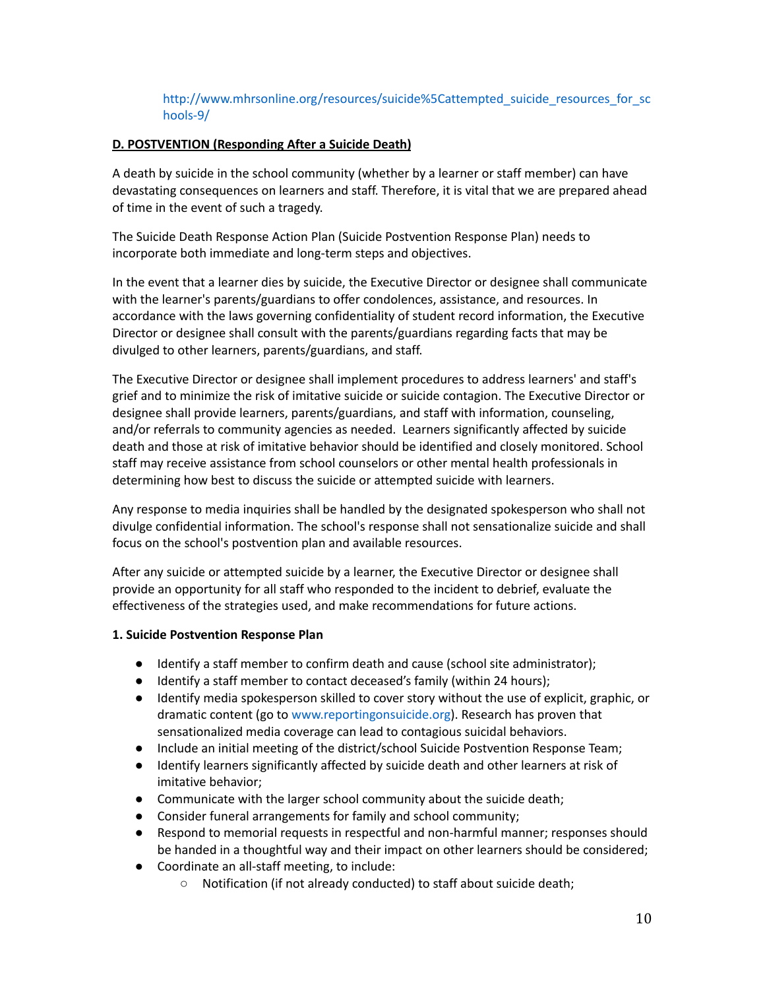## http://www.mhrsonline.org/resources/suicide%5Cattempted\_suicide\_resources\_for\_sc hools-9/

## **D. POSTVENTION (Responding After a Suicide Death)**

A death by suicide in the school community (whether by a learner or staff member) can have devastating consequences on learners and staff. Therefore, it is vital that we are prepared ahead of time in the event of such a tragedy.

The Suicide Death Response Action Plan (Suicide Postvention Response Plan) needs to incorporate both immediate and long-term steps and objectives.

In the event that a learner dies by suicide, the Executive Director or designee shall communicate with the learner's parents/guardians to offer condolences, assistance, and resources. In accordance with the laws governing confidentiality of student record information, the Executive Director or designee shall consult with the parents/guardians regarding facts that may be divulged to other learners, parents/guardians, and staff.

The Executive Director or designee shall implement procedures to address learners' and staff's grief and to minimize the risk of imitative suicide or suicide contagion. The Executive Director or designee shall provide learners, parents/guardians, and staff with information, counseling, and/or referrals to community agencies as needed. Learners significantly affected by suicide death and those at risk of imitative behavior should be identified and closely monitored. School staff may receive assistance from school counselors or other mental health professionals in determining how best to discuss the suicide or attempted suicide with learners.

Any response to media inquiries shall be handled by the designated spokesperson who shall not divulge confidential information. The school's response shall not sensationalize suicide and shall focus on the school's postvention plan and available resources.

After any suicide or attempted suicide by a learner, the Executive Director or designee shall provide an opportunity for all staff who responded to the incident to debrief, evaluate the effectiveness of the strategies used, and make recommendations for future actions.

## **1. Suicide Postvention Response Plan**

- Identify a staff member to confirm death and cause (school site administrator);
- Identify a staff member to contact deceased's family (within 24 hours);
- Identify media spokesperson skilled to cover story without the use of explicit, graphic, or dramatic content (go to www.reportingonsuicide.org). Research has proven that sensationalized media coverage can lead to contagious suicidal behaviors.
- Include an initial meeting of the district/school Suicide Postvention Response Team;
- Identify learners significantly affected by suicide death and other learners at risk of imitative behavior;
- Communicate with the larger school community about the suicide death;
- Consider funeral arrangements for family and school community;
- Respond to memorial requests in respectful and non-harmful manner; responses should be handed in a thoughtful way and their impact on other learners should be considered;
- Coordinate an all-staff meeting, to include:
	- Notification (if not already conducted) to staff about suicide death;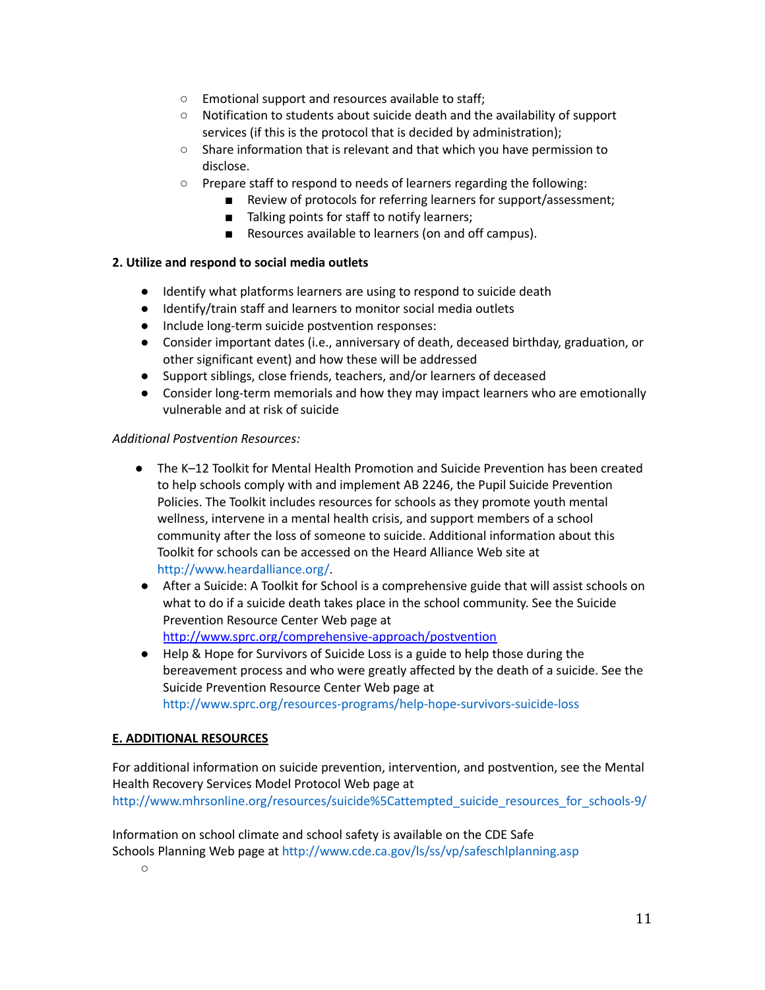- Emotional support and resources available to staff;
- Notification to students about suicide death and the availability of support services (if this is the protocol that is decided by administration);
- Share information that is relevant and that which you have permission to disclose.
- Prepare staff to respond to needs of learners regarding the following:
	- Review of protocols for referring learners for support/assessment;
	- Talking points for staff to notify learners;
	- Resources available to learners (on and off campus).

## **2. Utilize and respond to social media outlets**

- Identify what platforms learners are using to respond to suicide death
- Identify/train staff and learners to monitor social media outlets
- Include long-term suicide postvention responses:
- Consider important dates (i.e., anniversary of death, deceased birthday, graduation, or other significant event) and how these will be addressed
- Support siblings, close friends, teachers, and/or learners of deceased
- Consider long-term memorials and how they may impact learners who are emotionally vulnerable and at risk of suicide

## *Additional Postvention Resources:*

- The K–12 Toolkit for Mental Health Promotion and Suicide Prevention has been created to help schools comply with and implement AB 2246, the Pupil Suicide Prevention Policies. The Toolkit includes resources for schools as they promote youth mental wellness, intervene in a mental health crisis, and support members of a school community after the loss of someone to suicide. Additional information about this Toolkit for schools can be accessed on the Heard Alliance Web site at http://www.heardalliance.org/.
- After a Suicide: A Toolkit for School is a comprehensive guide that will assist schools on what to do if a suicide death takes place in the school community. See the Suicide Prevention Resource Center Web page at <http://www.sprc.org/comprehensive-approach/postvention>
- Help & Hope for Survivors of Suicide Loss is a guide to help those during the bereavement process and who were greatly affected by the death of a suicide. See the Suicide Prevention Resource Center Web page at http://www.sprc.org/resources-programs/help-hope-survivors-suicide-loss

## **E. ADDITIONAL RESOURCES**

For additional information on suicide prevention, intervention, and postvention, see the Mental Health Recovery Services Model Protocol Web page at http://www.mhrsonline.org/resources/suicide%5Cattempted\_suicide\_resources\_for\_schools-9/

Information on school climate and school safety is available on the CDE Safe Schools Planning Web page at http://www.cde.ca.gov/ls/ss/vp/safeschlplanning.asp

○